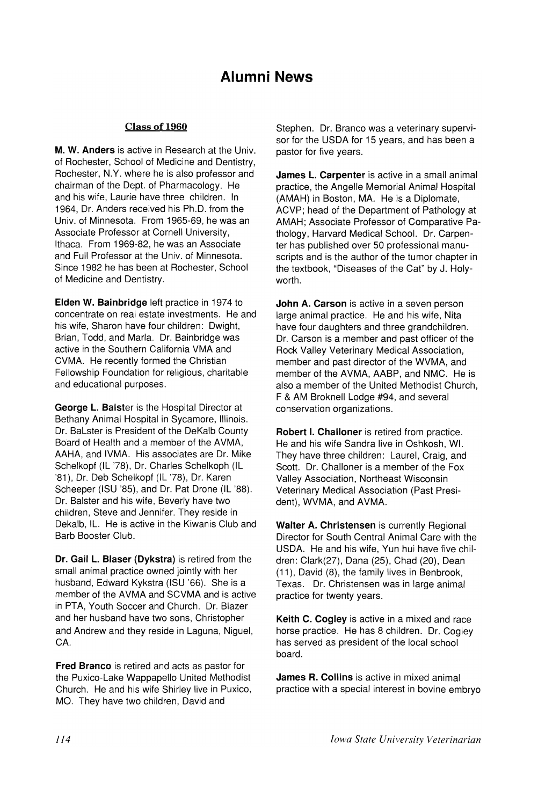## Alumni News

## Class of 1960

M. W. Anders is active in Research at the Univ. of Rochester, School of Medicine and Dentistry, Rochester, N.Y. where he is also professor and chairman of the Dept. of Pharmacology. He and his wife, Laurie have three children. In 1964, Dr. Anders received his Ph.D. from the Univ. of Minnesota. From 1965-69, he was an Associate Professor at Cornell University, Ithaca. From 1969-82, he was an Associate and Full Professor at the Univ. of Minnesota. Since 1982 he has been at Rochester, School of Medicine and Dentistry.

Elden W. Bainbridge left practice in 1974 to concentrate on real estate investments. He and his wife, Sharon have four children: Dwight, Brian, Todd, and Marla. Dr. Bainbridge was active in the Southern California VMA and CVMA. He recently formed the Christian Fellowship Foundation for religious, charitable and educational purposes.

George L. Balster is the Hospital Director at Bethany Animal Hospital in Sycamore, Illinois. Dr. Balster is President of the DeKalb County Board of Health and a member of the AVMA, AAHA, and IVMA. His associates are Dr. Mike Schelkopf (IL '78), Dr. Charles Schelkoph (IL '81), Dr. Deb Schelkopf (IL '78), Dr. Karen Scheeper (ISU '85), and Dr. Pat Drone (IL '88). Dr. Balster and his wife, Beverly have two children, Steve and Jennifer. They reside in Dekalb, IL. He is active in the Kiwanis Club and Barb Booster Club.

Dr. Gail L. Blaser (Dykstra) is retired from the small animal practice owned jointly with her husband, Edward Kykstra (ISU '66). She is a member of the AVMA and SCVMA and is active in PTA, Youth Soccer and Church. Dr. Blazer and her husband have two sons, Christopher and Andrew and they reside in Laguna, Niguel, CA.

Fred Branco is retired and acts as pastor for the Puxico-lake Wappapello United Methodist Church. He and his wife Shirley live in Puxico, MO. They have two children, David and

Stephen. Dr. Branco was a veterinary supervisor for the USDA for 15 years, and has been a pastor for five years.

James L. Carpenter is active in a small animal practice, the Angelle Memorial Animal Hospital (AMAH) in Boston, MA. He is a Diplomate, ACVP; head of the Department of Pathology at AMAH; Associate Professor of Comparative Pathology, Harvard Medical School. Dr. Carpenter has published over 50 professional manuscripts and is the author of the tumor chapter in the textbook, "Diseases of the Cat" by J. Holyworth.

John A. Carson is active in a seven person large animal practice. He and his wife, Nita have four daughters and three grandchildren. Dr. Carson is a member and past officer of the Rock Valley Veterinary Medical Association, member and past director of the WVMA, and member of the AVMA, AABP, and NMC. He is also a member of the United Methodist Church, F & AM Broknell Lodge #94, and several conservation organizations.

Robert I. Challoner is retired from practice. He and his wife Sandra live in Oshkosh, WI. They have three children: Laurel, Craig, and Scott. Dr. Challoner is a member of the Fox Valley Association, Northeast Wisconsin Veterinary Medical Association (Past President), WVMA, and AVMA.

Walter A. Christensen is currently Regional Director for South Central Animal Care with the USDA. He and his wife, Yun hui have five children: Clark(27), Dana (25), Chad (20), Dean (11), David (8), the family lives in Benbrook, Texas. Dr. Christensen was in large animal practice for twenty years.

Keith C. Cogley is active in a mixed and race horse practice. He has 8 children. Dr. Cogley has served as president of the local school board.

James R. Collins is active in mixed animal practice with a special interest in bovine embryo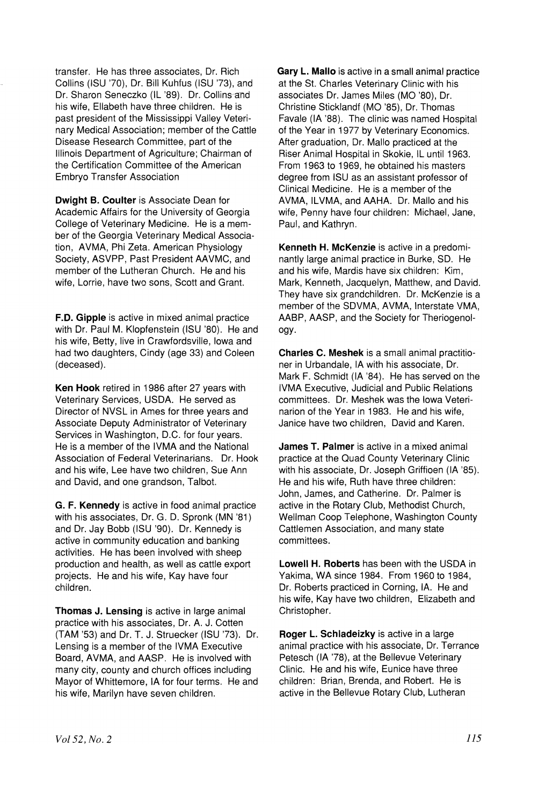transfer. He has three associates, Dr. Rich Collins (ISU '70), Dr. Bill Kuhfus (ISU '73), and Dr. Sharon Seneczko (IL '89). Dr. Collins-and his wife, Ellabeth have three children. He is past president of the Mississippi Valley Veterinary Medical Association; member of the Cattle Disease Research Committee, part of the Illinois Department of Agriculture; Chairman of the Certification Committee of the American Embryo Transfer Association

Dwight B. Coulter is Associate Dean for Academic Affairs for the University of Georgia College of Veterinary Medicine. He is a member of the Georgia Veterinary Medical Association, AVMA, Phi Zeta. American Physiology Society, ASVPP, Past President AAVMC, and member of the Lutheran Church. He and his wife, Lorrie, have two sons, Scott and Grant.

F.D. Gipple is active in mixed animal practice with Dr. Paul M. Klopfenstein (ISU '80). He and his wife, Betty, live in Crawfordsville, Iowa and had two daughters, Cindy (age 33) and Coleen (deceased).

Ken Hook retired in 1986 after 27 years with Veterinary Services, USDA. He served as Director of NVSL in Ames for three years and Associate Deputy Administrator of Veterinary Services in Washington, D.C. for four years. He is a member of the IVMA and the National Association of Federal Veterinarians. Dr. Hook and his wife, Lee have two children, Sue Ann and David, and one grandson, Talbot.

G. F. Kennedy is active in food animal practice with his associates, Dr. G. D. Spronk (MN '81) and Dr. Jay Bobb (ISU '90). Dr. Kennedy is active in community education and banking activities. He has been involved with sheep production and health, as well as cattle export projects. He and his wife, Kay have four children.

Thomas J. Lensing is active in large animal practice with his associates, Dr. A. J. Cotten (TAM '53) and Dr. T. J. Struecker (ISU '73). Dr. Lensing is a member of the IVMA Executive Board, AVMA, and AASP. He is involved with many city, county and church offices including Mayor of Whittemore, IA for four terms. He and his wife, Marilyn have seven children.

Gary L. Mallo is active in a small animal practice at the St. Charles Veterinary Clinic with his associates Dr. James Miles (MO '80), Dr. Christine Sticklandf (MO '85), Dr. Thomas Favale (IA '88). The clinic was named Hospital of the Year in 1977 by Veterinary Economics. After graduation, Dr. Mallo practiced at the Riser Animal Hospital in Skokie, IL until 1963. From 1963 to 1969, he obtained his masters degree from ISU as an assistant professor of Clinical Medicine. He is a member of the AVMA, ILVMA, and AAHA. Dr. Mallo and his wife, Penny have four children: Michael, Jane, Paul, and Kathryn.

Kenneth H. McKenzie is active in a predominantly large animal practice in Burke, SO. He and his wife, Mardis have six children: Kim, Mark, Kenneth, Jacquelyn, Matthew, and David. They have six grandchildren. Dr. McKenzie is a member of the SDVMA, AVMA, Interstate VMA, AABP, AASP, and the Society for Theriogenology.

Charles C. Meshek is a small animal practitioner in Urbandale, IA with his associate, Dr. Mark F. Schmidt (IA '84). He has served on the IVMA Executive, Judicial and Public Relations committees. Dr. Meshek was the Iowa Veterinarion of the Year in 1983. He and his wife, Janice have two children, David and Karen.

James T. Palmer is active in a mixed animal practice at the Quad County Veterinary Clinic with his associate, Dr. Joseph Griffioen (IA '85). He and his wife, Ruth have three children: John, James, and Catherine. Dr. Palmer is active in the Rotary Club, Methodist Church, Wellman Coop Telephone, Washington County Cattlemen Association, and many state committees.

Lowell H. Roberts has been with the USDA in Yakima, WA since 1984. From 1960 to 1984, Dr. Roberts practiced in Corning, IA. He and his wife, Kay have two children, Elizabeth and Christopher.

Roger L. Schladeizky is active in a large animal practice with his associate, Dr. Terrance Petesch (IA '78), at the Bellevue Veterinary Clinic. He and his wife, Eunice have three children: Brian, Brenda, and Robert. He is active in the Bellevue Rotary Club, Lutheran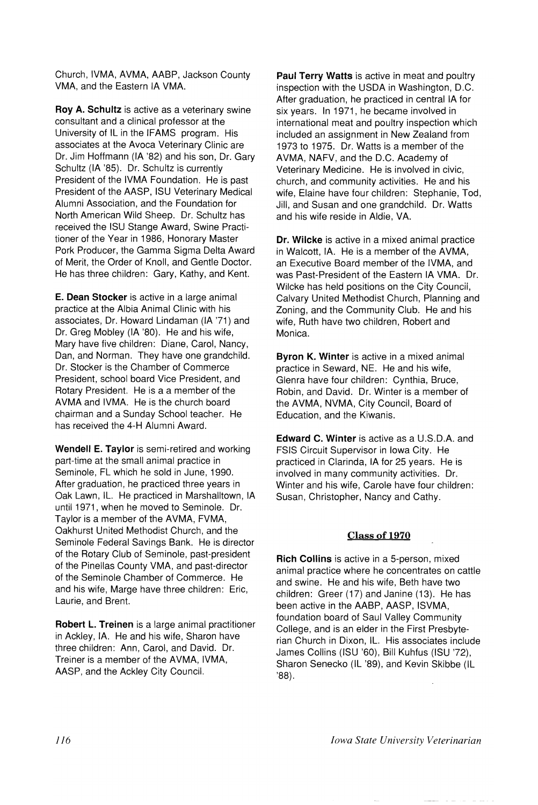Church, IVMA, AVMA, AABP, Jackson County VMA, and the Eastern IA VMA.

Roy A. Schultz is active as a veterinary swine consultant and a clinical professor at the University of IL in the IFAMS program. His associates at the Avoca Veterinary Clinic are Dr. Jim Hoffmann (IA '82) and his son, Dr. Gary Schultz (IA '85). Dr. Schultz is currently President of the IVMA Foundation. He is past President of the AASP, ISU Veterinary Medical Alumni Association, and the Foundation for North American Wild Sheep. Dr. Schultz has received the ISU Stange Award, Swine Practitioner of the Year in 1986, Honorary Master Pork Producer, the Gamma Sigma Delta Award of Merit, the Order of Knoll, and Gentle Doctor. He has three children: Gary, Kathy, and Kent.

E. Dean Stocker is active in a large animal practice at the Albia Animal Clinic with his associates, Dr. Howard Lindaman (IA '71) and Dr. Greg Mobley (IA '80). He and his wife, Mary have five children: Diane, Carol, Nancy, Dan, and Norman. They have one grandchild. Dr. Stocker is the Chamber of Commerce President, school board Vice President, and Rotary President. He is a a member of the AVMA and IVMA. He is the church board chairman and a Sunday School teacher. He has received the 4-H Alumni Award.

Wendell E. Taylor is semi-retired and working part-time at the small animal practice in Seminole, FL which he sold in June, 1990. After graduation, he practiced three years in Oak Lawn, IL. He practiced in Marshalltown, IA until 1971, when he moved to Seminole. Dr. Taylor is a member of the AVMA, FVMA, Oakhurst United Methodist Church, and the Seminole Federal Savings Bank. He is director of the Rotary Club of Seminole, past-president of the Pinellas County VMA, and past-director of the Seminole Chamber of Commerce. He and his wife, Marge have three children: Eric, Laurie, and Brent.

Robert L. Treinen is a large animal practitioner in Ackley, IA. He and his wife, Sharon have three children: Ann, Carol, and David. Dr. Treiner is a member of the AVMA, IVMA, AASP, and the Ackley City Council.

Paul Terry Watts is active in meat and poultry inspection with the USDA in Washington, D.C. After graduation, he practiced in central IA for six years. In 1971, he became involved in international meat and poultry inspection which included an assignment in New Zealand from 1973 to 1975. Dr. Watts is a member of the AVMA, NAFV, and the D.C. Academy of Veterinary Medicine. He is involved in civic, church, and community activities. He and his wife, Elaine have four children: Stephanie, Tod, Jill, and Susan and one grandchild. Dr. Watts and his wife reside in Aldie, VA.

Dr. Wilcke is active in a mixed animal practice in Walcott, IA. He is a member of the AVMA, an Executive Board member of the IVMA, and was Past-President of the Eastern IA VMA. Dr. Wilcke has held positions on the City Council, Calvary United Methodist Church, Planning and Zoning, and the Community Club. He and his wife, Ruth have two children, Robert and Monica.

Byron K. Winter is active in a mixed animal practice in Seward, NE. He and his wife, Glenra have four children: Cynthia, Bruce, Robin, and David. Dr. Winter is a member of the AVMA, NVMA, City Council, Board of Education, and the Kiwanis.

Edward C. Winter is active as a U.S.D.A. and FSIS Circuit Supervisor in Iowa City. He practiced in Clarinda, IA for 25 years. He is involved in many community activities. Dr. Winter and his wife, Carole have four children: Susan, Christopher, Nancy and Cathy.

## Class of 1970

Rich Collins is active in a 5-person, mixed animal practice where he concentrates on cattle and swine. He and his wife, Beth have two children: Greer (17) and Janine (13). He has been active in the AABP, AASP, ISVMA, foundation board of Saul Valley Community College, and is an elder in the First Presbyterian Church in Dixon, IL. His associates include James Collins (ISU '60), Bill Kuhfus (ISU '72), Sharon Senecko (IL '89), and Kevin SKibbe (IL '88).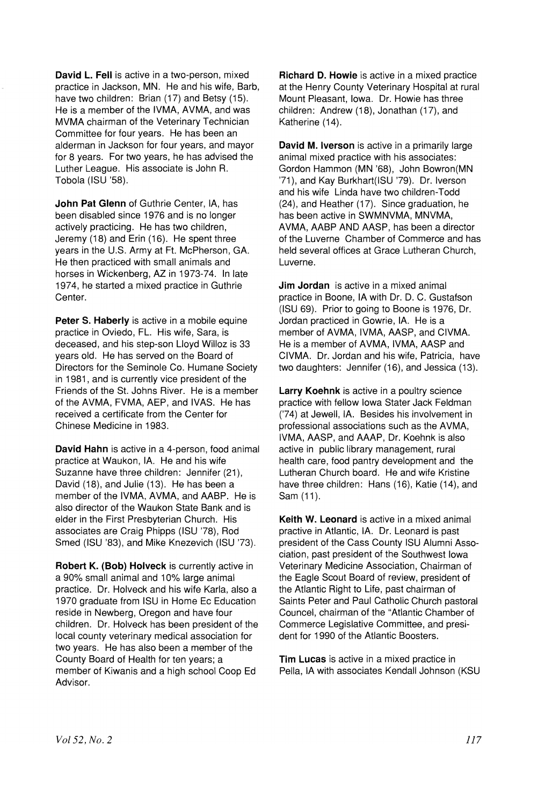David L. Fell is active in a two-person, mixed practice in Jackson, MN. He and his wife, Barb, have two children: Brian (17) and Betsy (15). He is a member of the IVMA, AVMA, and was MVMA chairman of the Veterinary Technician Committee for four years. He has been an alderman in Jackson for four years, and mayor for 8 years. For two years, he has advised the Luther League. His associate is John R. Tobola (ISU '58).

John Pat Glenn of Guthrie Center, IA, has been disabled since 1976 and is no longer actively practicing. He has two children, Jeremy (18) and Erin (16). He spent three years in the U.S. Army at F1. McPherson, GA. He then practiced with small animals and horses in Wickenberg, AZ in 1973-74. In late 1974, he started a mixed practice in Guthrie Center.

Peter S. Haberly is active in a mobile equine practice in Oviedo, FL. His wife, Sara, is deceased, and his step-son Lloyd Willoz is 33 years old. He has served on the Board of Directors for the Seminole Co. Humane Society in 1981, and is currently vice president of the Friends of the St. Johns River. He is a member of the AVMA, FVMA, AEP, and IVAS. He has received a certificate from the Center for Chinese Medicine in 1983.

David Hahn is active in a 4-person, food animal practice at Waukon, IA. He and his wife Suzanne have three children: Jennifer (21), David (18), and Julie (13). He has been a member of the IVMA, AVMA, and AABP. He is also director of the Waukon State Bank and is elder in the First Presbyterian Church. His associates are Craig Phipps (ISU '78), Rod Smed (ISU '83), and Mike Knezevich (ISU '73).

Robert K. (Bob) Holveck is currently active in a 90% small animal and 10% large animal practice. Dr. Holveck and his wife Karla, also a 1970 graduate from ISU in Home Ec Education reside in Newberg, Oregon and have four children. Dr. Holveck has been president of the local county veterinary medical association for two years. He has also been a member of the County Board of Health for ten years; a member of Kiwanis and a high school Coop Ed Advisor.

Richard D. Howie is active in a mixed practice at the Henry County Veterinary Hospital at rural Mount Pleasant, Iowa. Dr. Howie has three children: Andrew (18), Jonathan (17), and Katherine (14).

David M. Iverson is active in a primarily large animal mixed practice with his associates: Gordon Hammon (MN '68), John Bowron(MN '71), and Kay Burkhart(ISU '79). Dr. Iverson and his wife Linda have two children-Todd (24), and Heather (17). Since graduation, he has been active in SWMNVMA, MNVMA, AVMA, AABP AND AASP, has been a director of the Luverne Chamber of Commerce and has held several offices at Grace Lutheran Church, Luverne.

**Jim Jordan** is active in a mixed animal practice in Boone, IA with Dr. D. C. Gustafson (ISU 69). Prior to going to Boone is 1976, Dr. Jordan practiced in Gowrie, IA. He is a member of AVMA, IVMA, AASP, and CIVMA. He is a member of AVMA, IVMA, AASP and CIVMA. Dr. Jordan and his wife, Patricia, have two daughters: Jennifer (16), and Jessica (13).

Larry Koehnk is active in a poultry science practice with fellow Iowa Stater Jack Feldman ('74) at Jewell, IA. Besides his involvement in professional associations such as the AVMA, IVMA, AASP, and AAAP, Dr. Koehnk is also active in public library management, rural health care, food pantry development and the Lutheran Church board. He and wife Kristine have three children: Hans (16), Katie (14), and Sam (11).

Keith W. Leonard is active in a mixed animal practive in Atlantic, IA. Dr. Leonard is past president of the Cass County ISU Alumni Association, past president of the Southwest Iowa Veterinary Medicine Association, Chairman of the Eagle Scout Board of review, president of the Atlantic Right to Life, past chairman of Saints Peter and Paul Catholic Church pastoral Councel, chairman of the "Atlantic Chamber of Commerce Legislative Committee, and president for 1990 of the Atlantic Boosters.

Tim Lucas is active in a mixed practice in Pella, IA with associates Kendall Johnson (KSU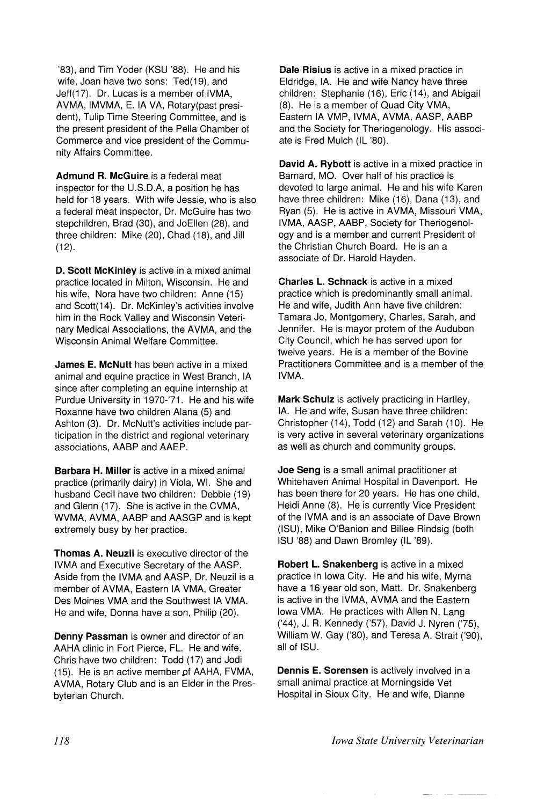'83), and Tim Yoder (KSU '88). He and his wife, Joan have two sons: Ted(19), and Jeff(17). Dr. Lucas is a member of IVMA, AVMA, IMVMA, E. IA VA, Rotary(past president), Tulip Time Steering Committee, and is the present president of the Pella Chamber of Commerce and vice president of the Community Affairs Committee.

Admund R. McGuire is a federal meat inspector for the U.S.D.A, a position he has held for 18 years. With wife Jessie, who is also a federal meat inspector, Dr. McGuire has two stepchildren, Brad (30), and JoEllen (28), and three children: Mike (20), Chad (18), and Jill (12).

D. Scott McKinley is active in a mixed animal practice located in Milton, Wisconsin. He and his wife, Nora have two children: Anne (15) and Scott(14). Dr. McKinley's activities involve him in the Rock Valley and Wisconsin Veterinary Medical Associations, the AVMA, and the Wisconsin Animal Welfare Committee.

**James E. McNutt** has been active in a mixed animal and equine practice in West Branch, IA since after completing an equine internship at Purdue University in 1970-'71. He and his wife Roxanne have two children Alana (5) and Ashton (3). Dr. McNutt's activities include participation in the district and regional veterinary associations, AABP and AAEP.

Barbara H. Miller is active in a mixed animal practice (primarily dairy) in Viola, WI. She and husband Cecil have two children: Debbie (19) and Glenn (17). She is active in the CVMA, WVMA, AVMA, AABP and AASGP and is kept extremely busy by her practice.

Thomas A. Neuzil is executive director of the IVMA and Executive Secretary of the AASP. Aside from the IVMA and AASP, Dr. Neuzil is a member of AVMA, Eastern IA VMA, Greater Des Moines VMA and the Southwest IA VMA. He and wife, Donna have a son, Philip (20).

Denny Passman is owner and director of an AAHA clinic in Fort Pierce, FL. He and wife, Chris have two children: Todd (17) and Jodi (15). He is an active member of AAHA, FVMA, AVMA, Rotary Club and is an Elder in the Presbyterian Church.

Dale Risius is active in a mixed practice in Eldridge, IA. He and wife Nancy have three children: Stephanie (16), Eric (14), and Abigail (8). He is a member of Quad City VMA, Eastern IA VMP, IVMA, AVMA, AASP, AABP and the Society for Theriogenology. His associate is Fred Mulch (IL '80).

David A. Rybott is active in a mixed practice in Barnard, MO. Over half of his practice is devoted to large animal. He and his wife Karen have three children: Mike (16), Dana (13), and Ryan (5). He is active in AVMA, Missouri VMA, IVMA, AASP, AABP, Society for Theriogenology and is a member and current President of the Christian Church Board. He is an a associate of Dr. Harold Hayden.

Charles L. Schnack is active in a mixed practice which is predominantly small animal. He and wife, Judith Ann have five children: Tamara Jo, Montgomery, Charles, Sarah, and Jennifer. He is mayor protem of the Audubon City Council, which he has served upon for twelve years. He is a member of the Bovine Practitioners Committee and is a member of the IVMA.

Mark Schulz is actively practicing in Hartley, IA. He and wife, Susan have three children: Christopher (14), Todd (12) and Sarah (10). He is very active in several veterinary organizations as well as church and community groups.

Joe Seng is a small animal practitioner at Whitehaven Animal Hospital in Davenport. He has been there for 20 years. He has one child, Heidi Anne (8). He is currently Vice President of the IVMA and is an associate of Dave Brown (ISU), Mike O'Banion and Billee Rindsig (both ISU '88) and Dawn Bromley (IL '89).

Robert L. Snakenberg is active in a mixed practice in Iowa City. He and his wife, Myrna have a 16 year old son, Matt. Dr. Snakenberg is active in the IVMA, AVMA and the Eastern Iowa VMA. He practices with Allen N. Lang ('44), J. R. Kennedy ('57), David J. Nyren ('75), William W. Gay ('80), and Teresa A. Strait ('90), all of ISU.

Dennis E. Sorensen is actively involved in a small animal practice at Morningside Vet Hospital in Sioux City. He and wife, Dianne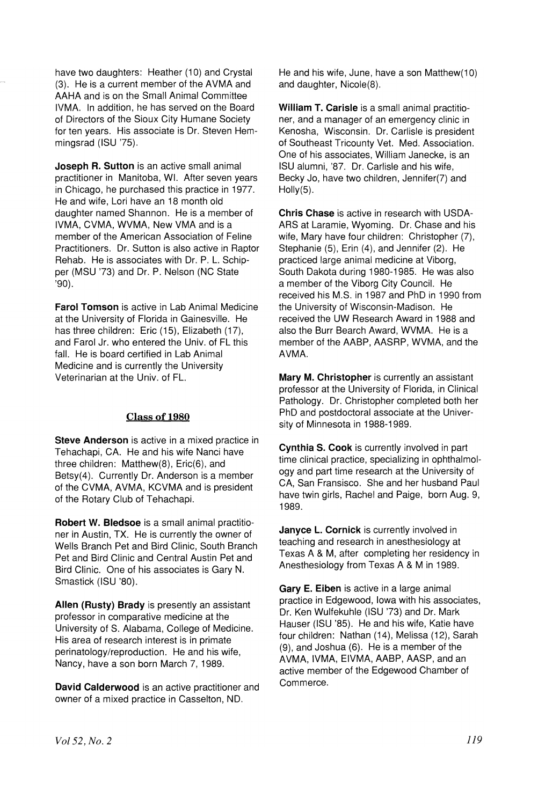have two daughters: Heather (10) and Crystal (3). He is a current member of the AVMA and AAHA and is on the Small Animal Committee IVMA. In addition, he has served on the Board of Directors of the Sioux City Humane Society for ten years. His associate is Dr. Steven Hemmingsrad (ISU '75).

Joseph R. Sutton is an active small animal practitioner in Manitoba, WI. After seven years in Chicago, he purchased this practice in 1977. He and wife, Lori have an 18 month old daughter named Shannon. He is a member of IVMA, CVMA, WVMA, New VMA and is a member of the American Association of Feline Practitioners. Dr. Sutton is also active in Raptor Rehab. He is associates with Dr. P. L. Schipper (MSU '73) and Dr. P. Nelson (NC State '90).

**Farol Tomson** is active in Lab Animal Medicine at the University of Florida in Gainesville. He has three children: Eric (15), Elizabeth (17), and Farol Jr. who entered the Univ. of FL this fall. He is board certified in Lab Animal Medicine and is currently the University Veterinarian at the Univ. of FL.

## Class of 1980

Steve Anderson is active in a mixed practice in Tehachapi, CA. He and his wife Nanci have three children: Matthew(8), Eric(6), and Betsy(4). Currently Dr. Anderson is a member of the CVMA, AVMA, KCVMA and is president of the Rotary Club of Tehachapi.

Robert W. Bledsoe is a small animal practitioner in Austin, TX. He is currently the owner of Wells Branch Pet and Bird Clinic, South Branch Pet and Bird Clinic and Central Austin Pet and Bird Clinic. One of his associates is Gary N. Smastick (ISU '80).

Allen (Rusty) Brady is presently an assistant professor in comparative medicine at the University of S. Alabama, College of Medicine. His area of research interest is in primate perinatology/reproduction. He and his wife, Nancy, have a son born March 7, 1989.

David Calderwood is an active practitioner and owner of a mixed practice in Casselton, NO.

He and his wife, June, have a son Matthew(10) and daughter, Nicole(8).

William T. Carisle is a small animal practitioner, and a manager of an emergency clinic in Kenosha, Wisconsin. Dr. Carlisle is president of Southeast Tricounty Vet. Med. Association. One of his associates, William Janecke, is an ISU alumni, '87. Dr. Carlisle and his wife, Becky Jo, have two children, Jennifer(7) and Holly(5).

Chris Chase is active in research with USDA-ARS at Laramie, Wyoming. Dr. Chase and his wife, Mary have four children: Christopher (7), Stephanie (5), Erin (4), and Jennifer (2). He practiced large animal medicine at Viborg, South Dakota during 1980-1985. He was also a member of the Viborg City Council. He received his M.S. in 1987 and PhD in 1990 from the University of Wisconsin-Madison. He received the UW Research Award in 1988 and also the Burr Search Award, WVMA. He is a member of the AABP, AASRP, WVMA, and the AVMA.

Mary M. Christopher is currently an assistant professor at the University of Florida, in Clinical Pathology. Dr. Christopher completed both her PhD and postdoctoral associate at the University of Minnesota in 1988-1989.

Cynthia S. Cook is currently involved in part time clinical practice, specializing in ophthalmology and part time research at the University of CA, San Fransisco. She and her husband Paul have twin girls, Rachel and Paige, born Aug. 9, 1989.

Janyce L. Cornick is currently involved in teaching and research in anesthesiology at Texas A & M, after completing her residency in Anesthesiology from Texas A & M in 1989.

Gary E. Eiben is active in a large animal practice in Edgewood, Iowa with his associates, Dr. Ken Wulfekuhle (ISU '73) and Dr. Mark Hauser (ISU '85). He and his wife, Katie have four children: Nathan (14), Melissa (12), Sarah (9), and Joshua (6). He is a member of the AVMA, IVMA, EIVMA, AABP, AASP, and an active member of the Edgewood Chamber of Commerce.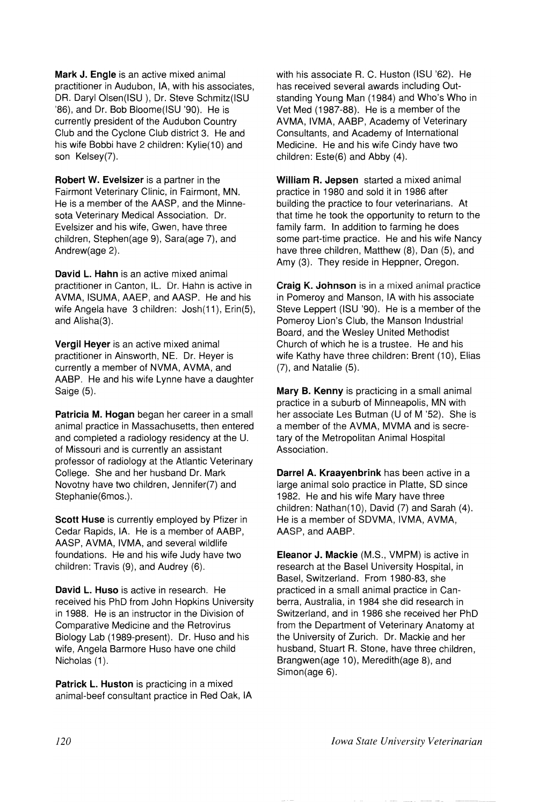Mark J. Engle is an active mixed animal practitioner in Audubon, lA, with his associates, DR. Daryl Olsen(ISU), Dr. Steve Schmitz(ISU '86), and Dr. Bob Bloome(ISU '90). He is currently president of the Audubon Country Club and the Cyclone Club district 3. He and his wife Bobbi have 2 children: Kylie(10) and son Kelsey(7).

Robert W. Evelsizer is a partner in the Fairmont Veterinary Clinic, in Fairmont, MN. He is a member of the AASP, and the Minnesota Veterinary Medical Association. Dr. Evelsizer and his wife, Gwen, have three children, Stephen(age 9), Sara(age 7), and Andrew(age 2).

David L. Hahn is an active mixed animal practitioner in Canton, IL. Dr. Hahn is active in AVMA, ISUMA, AAEP, and AASP. He and his wife Angela have 3 children: Josh(11), Erin(5), and Alisha(3).

Vergil Heyer is an active mixed animal practitioner in Ainsworth, NE. Dr. Heyer is currently a member of NVMA, AVMA, and AABP. He and his wife Lynne have a daughter Saige (5).

Patricia M. Hogan began her career in a small animal practice in Massachusetts, then entered and completed a radiology residency at the U. of Missouri and is currently an assistant professor of radiology at the Atlantic Veterinary College. She and her husband Dr. Mark Novotny have two children, Jennifer(7) and Stephanie(6mos.).

Scott Huse is currently employed by Pfizer in Cedar Rapids, IA. He is a member of AABP, AASP, AVMA, IVMA, and several wildlife foundations. He and his wife Judy have two children: Travis (9), and Audrey (6).

David L. Huso is active in research. He received his PhD from John Hopkins University in 1988. He is an instructor in the Division of Comparative Medicine and the Retrovirus Biology Lab (1989-present). Dr. Huso and his wife, Angela Barmore Huso have one child Nicholas (1).

Patrick L. Huston is practicing in a mixed animal-beef consultant practice in Red Oak, IA with his associate R. C. Huston (ISU '62). He has received several awards including Outstanding Young Man (1984) and Who's Who in Vet Med (1987-88). He is a member of the AVMA, IVMA, AABP, Academy of Veterinary Consultants, and Academy of International Medicine. He and his wife Cindy have two children: Este(6) and Abby (4).

William R. Jepsen started a mixed animal practice in 1980 and sold it in 1986 after building the practice to four veterinarians. At that time he took the opportunity to return to the family farm. In addition to farming he does some part-time practice. He and his wife Nancy have three children, Matthew (8), Dan (5), and Amy (3). They reside in Heppner, Oregon.

Craig K. Johnson is in a mixed animal practice in Pomeroy and Manson, IA with his associate Steve Leppert (ISU '90). He is a member of the Pomeroy Lion's Club, the Manson Industrial Board, and the Wesley United Methodist Church of which he is a trustee. He and his wife Kathy have three children: Brent (10), Elias (7), and Natalie (5).

Mary B. Kenny is practicing in a small animal practice in a suburb of Minneapolis, MN with her associate Les Butman (U of M '52). She is a member of the AVMA, MVMA and is secretary of the Metropolitan Animal Hospital Association.

Darrel A. Kraayenbrink has been active in a large animal solo practice in Platte, SO since 1982. He and his wife Mary have three children: Nathan(10), David (7) and Sarah (4). He is a member of SDVMA, IVMA, AVMA, AASP, and AABP.

Eleanor J. Mackie (M.S., VMPM) is active in research at the Basel University Hospital, in Basel, Switzerland. From 1980-83, she practiced in a small animal practice in Canberra, Australia, in 1984 she did research in Switzerland, and in 1986 she received her PhD 'from the Department of Veterinary Anatomy at the University of Zurich. Dr. Mackie and her husband, Stuart R. Stone, have three children, Brangwen(age 10), Meredith(age 8), and Simon(age 6).

*Iowa State University Veterinarian*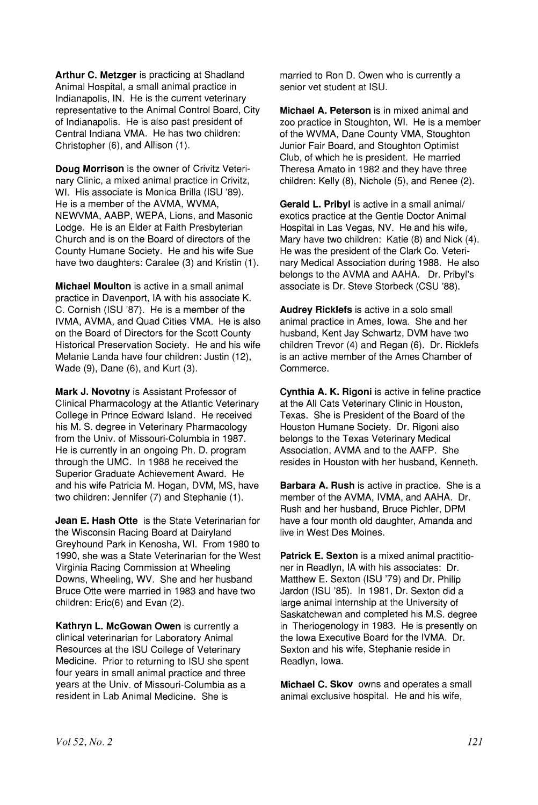Arthur C. Metzger is practicing at Shadland Animal Hospital, a small animal practice in Indianapolis, IN. He is the current veterinary representative to the Animal Control Board, City of Indianapolis. He is also past president of Central Indiana VMA. He has two children: Christopher (6), and Allison (1).

Doug Morrison is the owner of Crivitz Veterinary Clinic, a mixed animal practice in Crivitz, WI. His associate is Monica Brilla (ISU '89). He is a mernber of the AVMA, WVMA, NEWVMA, AABP, WEPA, Lions, and Masonic Lodge. He is an Elder at Faith Presbyterian Church and is on the Board of directors of the County Humane Society. He and his wife Sue have two daughters: Caralee (3) and Kristin (1).

Michael Moulton is active in a small animal practice in Davenport, IA with his associate K. C. Cornish (ISU '87). He is a member of the IVMA, AVMA, and Quad Cities VMA. He is also on the Board of Directors for the Scott County Historical Preservation Society. He and his wife Melanie Landa have four children: Justin (12), Wade (9), Dane (6), and Kurt (3).

Mark J. Novotny is Assistant Professor of Clinical Pharmacology at the Atlantic Veterinary College in Prince Edward Island. He received his M. S. degree in Veterinary Pharmacology from the Univ. of Missouri-Columbia in 1987. He is currently in an ongoing Ph. D. program through the UMC. In 1988 he received the Superior Graduate Achievement Award. He and his wife Patricia M. Hogan, DVM, MS, have two children: Jennifer (7) and Stephanie (1).

Jean E. Hash Otte is the State Veterinarian for the Wisconsin Racing Board at Dairyland Greyhound Park in Kenosha, WI. From 1980 to 1990, she was a State Veterinarian for the West Virginia Racing Commission at Wheeling Downs, Wheeling, WV. She and her husband Bruce Otte were married in 1983 and have two children: Eric(6) and Evan (2).

Kathryn L. McGowan Owen is currently a clinical veterinarian for Laboratory Animal Resources at the ISU College of Veterinary Medicine. Prior to returning to ISU she spent four years in small animal practice and three years at the Univ. of Missouri-Columbia as a resident in Lab Animal Medicine. She is

married to Ron D. Owen who is currently a senior vet student at ISU.

Michael A. Peterson is in mixed animal and zoo practice in Stoughton, WI. He is a member of the WVMA, Dane County VMA, Stoughton Junior Fair Board, and Stoughton Optimist Club, of which he is president. He married Theresa Amato in 1982 and they have three children: Kelly (8), Nichole (5), and Renee (2).

Gerald L. Pribyl is active in a small animal/ exotics practice at the Gentle Doctor Animal Hospital in Las Vegas, NV. He and his wife, Mary have two children: Katie (8) and Nick (4). He was the president of the Clark Co. Veterinary Medical Association during 1988. He also belongs to the AVMA and AAHA. Dr. Pribyl's associate is Dr. Steve Storbeck (CSU '88).

Audrey Ricklefs is active in a solo small animal practice in Ames, Iowa. She and her husband, Kent Jay Schwartz, DVM have two children Trevor (4) and Regan (6). Dr. Ricklefs is an active member of the Ames Chamber of Commerce.

Cynthia A. K. Rigoni is active in feline practice at the All Cats Veterinary Clinic in Houston, Texas. She is President of the Board of the Houston Humane Society. Dr. Rigoni also belongs to the Texas Veterinary Medical Association, AVMA and to the AAFP. She resides in Houston with her husband, Kenneth.

**Barbara A. Rush is active in practice. She is a** member of the AVMA, IVMA, and AAHA. Dr. Rush and her husband, Bruce Pichler, DPM have a four month old daughter, Amanda and live in West Des Moines.

Patrick E. Sexton is a mixed animal practitioner in Readlyn, IA with his associates: Dr. Matthew E. Sexton (ISU '79) and Dr. Philip Jardon (ISU '85). In 1981, Dr. Sexton did a large animal internship at the University of Saskatchewan and completed his M.S. degree in Theriogenology in 1983. He is presently on the Iowa Executive Board for the IVMA. Dr. Sexton and his wife, Stephanie reside in Readlyn, Iowa.

Michael C. Skov owns and operates a small animal exclusive hospital. He and his wife,